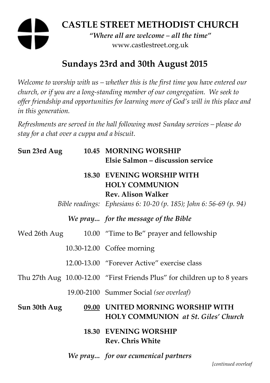# **CASTLE STREET METHODIST CHURCH**

*"Where all are welcome – all the time"*  www.castlestreet.org.uk

# **Sundays 23rd and 30th August 2015**

*Welcome to worship with us – whether this is the first time you have entered our church, or if you are a long-standing member of our congregation. We seek to offer friendship and opportunities for learning more of God's will in this place and in this generation.* 

*Refreshments are served in the hall following most Sunday services – please do stay for a chat over a cuppa and a biscuit.* 

| Sun 23rd Aug | 10.45 MORNING WORSHIP<br>Elsie Salmon - discussion service                                                                                             |
|--------------|--------------------------------------------------------------------------------------------------------------------------------------------------------|
|              | <b>18.30 EVENING WORSHIP WITH</b><br><b>HOLY COMMUNION</b><br>Rev. Alison Walker<br>Bible readings: Ephesians 6: 10-20 (p. 185); John 6: 56-69 (p. 94) |
|              | We pray for the message of the Bible                                                                                                                   |
|              | Wed 26th Aug 10.00 "Time to Be" prayer and fellowship                                                                                                  |
|              | 10.30-12.00 Coffee morning                                                                                                                             |
|              | 12.00-13.00 "Forever Active" exercise class                                                                                                            |
|              | Thu 27th Aug 10.00-12.00 "First Friends Plus" for children up to 8 years                                                                               |
|              | 19.00-2100 Summer Social (see overleaf)                                                                                                                |
| Sun 30th Aug | 09.00 UNITED MORNING WORSHIP WITH<br><b>HOLY COMMUNION</b> at St. Giles' Church                                                                        |
|              | <b>18.30 EVENING WORSHIP</b><br><b>Rev. Chris White</b>                                                                                                |
|              | We pray for our ecumenical partners                                                                                                                    |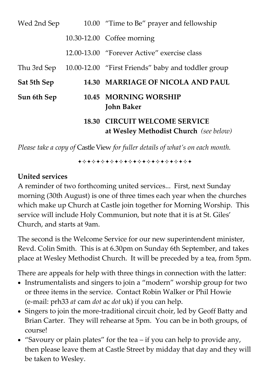| Wed 2nd Sep |       | 10.00 "Time to Be" prayer and fellowship                                 |
|-------------|-------|--------------------------------------------------------------------------|
|             |       | 10.30-12.00 Coffee morning                                               |
|             |       | 12.00-13.00 "Forever Active" exercise class                              |
| Thu 3rd Sep |       | 10.00-12.00 "First Friends" baby and toddler group                       |
| Sat 5th Sep |       | 14.30 MARRIAGE OF NICOLA AND PAUL                                        |
| Sun 6th Sep |       | 10.45 MORNING WORSHIP<br><b>John Baker</b>                               |
|             | 18.30 | <b>CIRCUIT WELCOME SERVICE</b><br>at Wesley Methodist Church (see below) |

*Please take a copy of* Castle View *for fuller details of what's on each month.* 

**\*\*\*\*\*\*\*\*\*\*\*\*\*\*\*\*\*\*\*\*\*\*\*\*** 

### **United services**

A reminder of two forthcoming united services... First, next Sunday morning (30th August) is one of three times each year when the churches which make up Church at Castle join together for Morning Worship. This service will include Holy Communion, but note that it is at St. Giles' Church, and starts at 9am.

The second is the Welcome Service for our new superintendent minister, Revd. Colin Smith. This is at 6.30pm on Sunday 6th September, and takes place at Wesley Methodist Church. It will be preceded by a tea, from 5pm.

There are appeals for help with three things in connection with the latter:

- Instrumentalists and singers to join a "modern" worship group for two or three items in the service. Contact Robin Walker or Phil Howie (e-mail: prh33 *at* cam *dot* ac *dot* uk) if you can help.
- Singers to join the more-traditional circuit choir, led by Geoff Batty and Brian Carter. They will rehearse at 5pm. You can be in both groups, of course!
- "Savoury or plain plates" for the tea if you can help to provide any, then please leave them at Castle Street by midday that day and they will be taken to Wesley.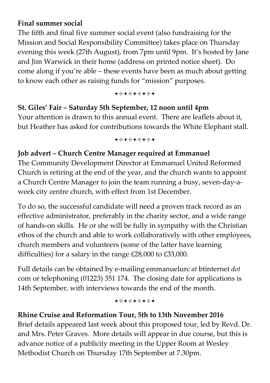### **Final summer social**

The fifth and final five summer social event (also fundraising for the Mission and Social Responsibility Committee) takes place on Thursday evening this week (27th August), from 7pm until 9pm. It's hosted by Jane and Jim Warwick in their home (address on printed notice sheet). Do come along if you're able – these events have been as much about getting to know each other as raising funds for "mission" purposes.

\*\*\*\*\*\*\*\*\*

#### **St. Giles' Fair – Saturday 5th September, 12 noon until 4pm**

Your attention is drawn to this annual event. There are leaflets about it, but Heather has asked for contributions towards the White Elephant stall.

+\*+\*+\*+\*+

#### **Job advert – Church Centre Manager required at Emmanuel**

The Community Development Director at Emmanuel United Reformed Church is retiring at the end of the year, and the church wants to appoint a Church Centre Manager to join the team running a busy, seven-day-aweek city centre church, with effect from 1st December.

To do so, the successful candidate will need a proven track record as an effective administrator, preferably in the charity sector, and a wide range of hands-on skills. He or she will be fully in sympathy with the Christian ethos of the church and able to work collaboratively with other employees, church members and volunteers (some of the latter have learning difficulties) for a salary in the range £28,000 to £33,000.

Full details can be obtained by e-mailing emmanuelurc *at* btinternet *dot* com or telephoning (01223) 351 174. The closing date for applications is 14th September, with interviews towards the end of the month.

**+\*+\*+\*+\*+** 

#### **Rhine Cruise and Reformation Tour, 5th to 13th November 2016**

Brief details appeared last week about this proposed tour, led by Revd. Dr. and Mrs. Peter Graves. More details will appear in due course, but this is advance notice of a publicity meeting in the Upper Room at Wesley Methodist Church on Thursday 17th September at 7.30pm.